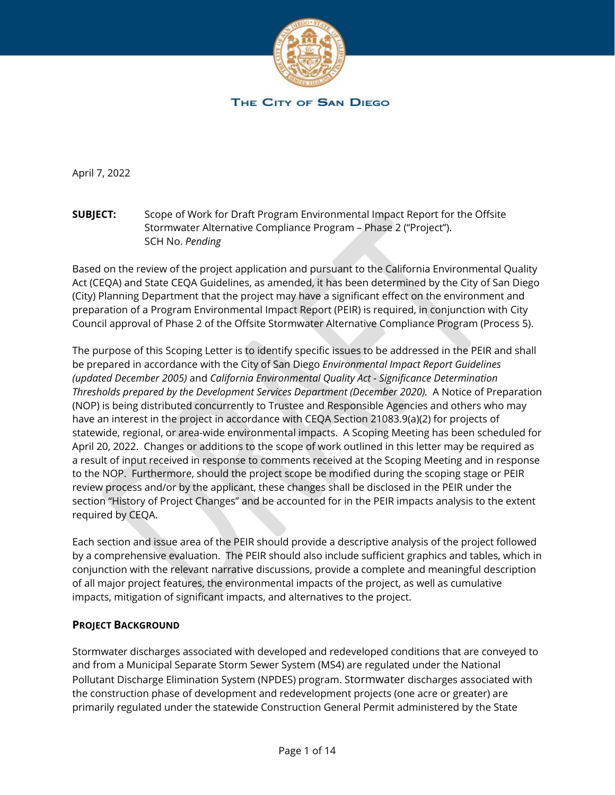

April 7, 2022

**SUBJECT:** Scope of Work for Draft Program Environmental Impact Report for the Offsite Stormwater Alternative Compliance Program – Phase 2 ("Project"). SCH No. *Pending*

Based on the review of the project application and pursuant to the California Environmental Quality Act (CEQA) and State CEQA Guidelines, as amended, it has been determined by the City of San Diego (City) Planning Department that the project may have a significant effect on the environment and preparation of a Program Environmental Impact Report (PEIR) is required, in conjunction with City Council approval of Phase 2 of the Offsite Stormwater Alternative Compliance Program (Process 5).

The purpose of this Scoping Letter is to identify specific issues to be addressed in the PEIR and shall be prepared in accordance with the City of San Diego *Environmental Impact Report Guidelines (updated December 2005)* and *California Environmental Quality Act - Significance Determination Thresholds prepared by the Development Services Department (December 2020).* A Notice of Preparation (NOP) is being distributed concurrently to Trustee and Responsible Agencies and others who may have an interest in the project in accordance with CEQA Section 21083.9(a)(2) for projects of statewide, regional, or area-wide environmental impacts. A Scoping Meeting has been scheduled for April 20, 2022. Changes or additions to the scope of work outlined in this letter may be required as a result of input received in response to comments received at the Scoping Meeting and in response to the NOP. Furthermore, should the project scope be modified during the scoping stage or PEIR review process and/or by the applicant, these changes shall be disclosed in the PEIR under the section "History of Project Changes" and be accounted for in the PEIR impacts analysis to the extent required by CEQA.

Each section and issue area of the PEIR should provide a descriptive analysis of the project followed by a comprehensive evaluation. The PEIR should also include sufficient graphics and tables, which in conjunction with the relevant narrative discussions, provide a complete and meaningful description of all major project features, the environmental impacts of the project, as well as cumulative impacts, mitigation of significant impacts, and alternatives to the project.

### **PROJECT BACKGROUND**

Stormwater discharges associated with developed and redeveloped conditions that are conveyed to and from a Municipal Separate Storm Sewer System (MS4) are regulated under the National Pollutant Discharge Elimination System (NPDES) program. Stormwater discharges associated with the construction phase of development and redevelopment projects (one acre or greater) are primarily regulated under the statewide Construction General Permit administered by the State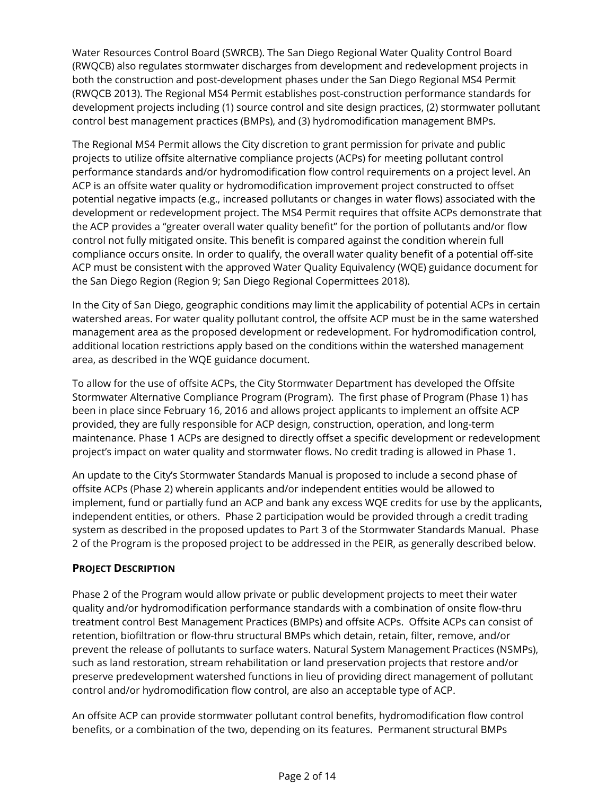Water Resources Control Board (SWRCB). The San Diego Regional Water Quality Control Board (RWQCB) also regulates stormwater discharges from development and redevelopment projects in both the construction and post-development phases under the San Diego Regional MS4 Permit (RWQCB 2013). The Regional MS4 Permit establishes post-construction performance standards for development projects including (1) source control and site design practices, (2) stormwater pollutant control best management practices (BMPs), and (3) hydromodification management BMPs.

The Regional MS4 Permit allows the City discretion to grant permission for private and public projects to utilize offsite alternative compliance projects (ACPs) for meeting pollutant control performance standards and/or hydromodification flow control requirements on a project level. An ACP is an offsite water quality or hydromodification improvement project constructed to offset potential negative impacts (e.g., increased pollutants or changes in water flows) associated with the development or redevelopment project. The MS4 Permit requires that offsite ACPs demonstrate that the ACP provides a "greater overall water quality benefit" for the portion of pollutants and/or flow control not fully mitigated onsite. This benefit is compared against the condition wherein full compliance occurs onsite. In order to qualify, the overall water quality benefit of a potential off-site ACP must be consistent with the approved Water Quality Equivalency (WQE) guidance document for the San Diego Region (Region 9; San Diego Regional Copermittees 2018).

In the City of San Diego, geographic conditions may limit the applicability of potential ACPs in certain watershed areas. For water quality pollutant control, the offsite ACP must be in the same watershed management area as the proposed development or redevelopment. For hydromodification control, additional location restrictions apply based on the conditions within the watershed management area, as described in the WQE guidance document.

To allow for the use of offsite ACPs, the City Stormwater Department has developed the Offsite Stormwater Alternative Compliance Program (Program). The first phase of Program (Phase 1) has been in place since February 16, 2016 and allows project applicants to implement an offsite ACP provided, they are fully responsible for ACP design, construction, operation, and long-term maintenance. Phase 1 ACPs are designed to directly offset a specific development or redevelopment project's impact on water quality and stormwater flows. No credit trading is allowed in Phase 1.

An update to the City's Stormwater Standards Manual is proposed to include a second phase of offsite ACPs (Phase 2) wherein applicants and/or independent entities would be allowed to implement, fund or partially fund an ACP and bank any excess WQE credits for use by the applicants, independent entities, or others. Phase 2 participation would be provided through a credit trading system as described in the proposed updates to Part 3 of the Stormwater Standards Manual. Phase 2 of the Program is the proposed project to be addressed in the PEIR, as generally described below.

### **PROJECT DESCRIPTION**

Phase 2 of the Program would allow private or public development projects to meet their water quality and/or hydromodification performance standards with a combination of onsite flow-thru treatment control Best Management Practices (BMPs) and offsite ACPs. Offsite ACPs can consist of retention, biofiltration or flow-thru structural BMPs which detain, retain, filter, remove, and/or prevent the release of pollutants to surface waters. Natural System Management Practices (NSMPs), such as land restoration, stream rehabilitation or land preservation projects that restore and/or preserve predevelopment watershed functions in lieu of providing direct management of pollutant control and/or hydromodification flow control, are also an acceptable type of ACP.

An offsite ACP can provide stormwater pollutant control benefits, hydromodification flow control benefits, or a combination of the two, depending on its features. Permanent structural BMPs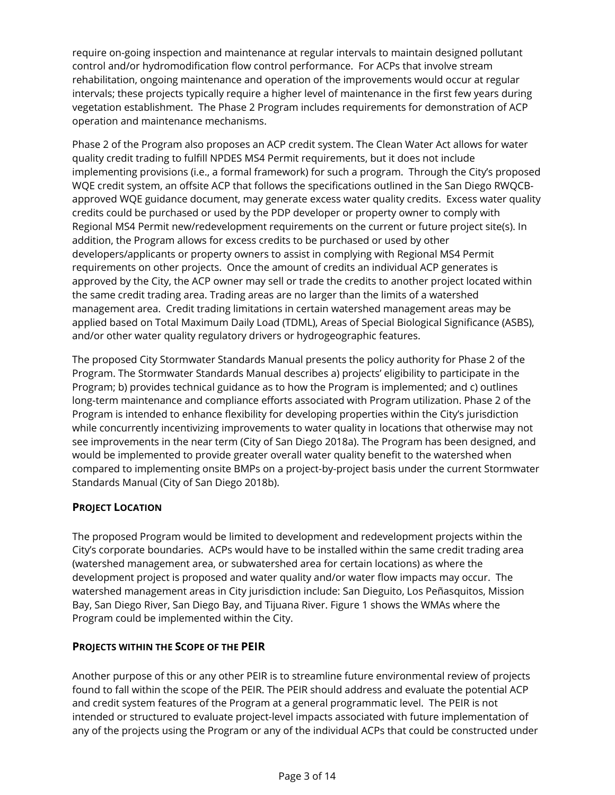require on-going inspection and maintenance at regular intervals to maintain designed pollutant control and/or hydromodification flow control performance. For ACPs that involve stream rehabilitation, ongoing maintenance and operation of the improvements would occur at regular intervals; these projects typically require a higher level of maintenance in the first few years during vegetation establishment. The Phase 2 Program includes requirements for demonstration of ACP operation and maintenance mechanisms.

Phase 2 of the Program also proposes an ACP credit system. The Clean Water Act allows for water quality credit trading to fulfill NPDES MS4 Permit requirements, but it does not include implementing provisions (i.e., a formal framework) for such a program. Through the City's proposed WQE credit system, an offsite ACP that follows the specifications outlined in the San Diego RWQCBapproved WQE guidance document, may generate excess water quality credits. Excess water quality credits could be purchased or used by the PDP developer or property owner to comply with Regional MS4 Permit new/redevelopment requirements on the current or future project site(s). In addition, the Program allows for excess credits to be purchased or used by other developers/applicants or property owners to assist in complying with Regional MS4 Permit requirements on other projects. Once the amount of credits an individual ACP generates is approved by the City, the ACP owner may sell or trade the credits to another project located within the same credit trading area. Trading areas are no larger than the limits of a watershed management area. Credit trading limitations in certain watershed management areas may be applied based on Total Maximum Daily Load (TDML), Areas of Special Biological Significance (ASBS), and/or other water quality regulatory drivers or hydrogeographic features.

The proposed City Stormwater Standards Manual presents the policy authority for Phase 2 of the Program. The Stormwater Standards Manual describes a) projects' eligibility to participate in the Program; b) provides technical guidance as to how the Program is implemented; and c) outlines long-term maintenance and compliance efforts associated with Program utilization. Phase 2 of the Program is intended to enhance flexibility for developing properties within the City's jurisdiction while concurrently incentivizing improvements to water quality in locations that otherwise may not see improvements in the near term (City of San Diego 2018a). The Program has been designed, and would be implemented to provide greater overall water quality benefit to the watershed when compared to implementing onsite BMPs on a project-by-project basis under the current Stormwater Standards Manual (City of San Diego 2018b).

### **PROJECT LOCATION**

The proposed Program would be limited to development and redevelopment projects within the City's corporate boundaries. ACPs would have to be installed within the same credit trading area (watershed management area, or subwatershed area for certain locations) as where the development project is proposed and water quality and/or water flow impacts may occur. The watershed management areas in City jurisdiction include: San Dieguito, Los Peñasquitos, Mission Bay, San Diego River, San Diego Bay, and Tijuana River. Figure 1 shows the WMAs where the Program could be implemented within the City.

### **PROJECTS WITHIN THE SCOPE OF THE PEIR**

Another purpose of this or any other PEIR is to streamline future environmental review of projects found to fall within the scope of the PEIR. The PEIR should address and evaluate the potential ACP and credit system features of the Program at a general programmatic level. The PEIR is not intended or structured to evaluate project-level impacts associated with future implementation of any of the projects using the Program or any of the individual ACPs that could be constructed under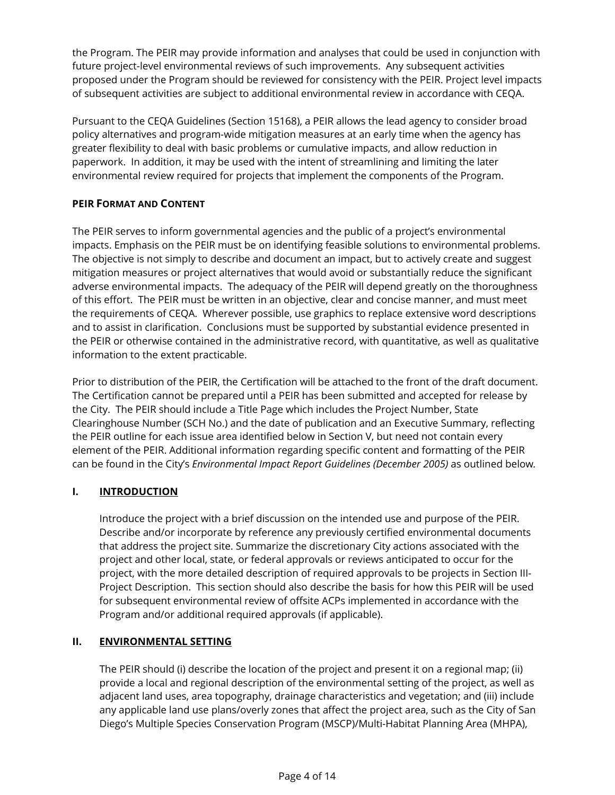the Program. The PEIR may provide information and analyses that could be used in conjunction with future project-level environmental reviews of such improvements. Any subsequent activities proposed under the Program should be reviewed for consistency with the PEIR. Project level impacts of subsequent activities are subject to additional environmental review in accordance with CEQA.

Pursuant to the CEQA Guidelines (Section 15168), a PEIR allows the lead agency to consider broad policy alternatives and program-wide mitigation measures at an early time when the agency has greater flexibility to deal with basic problems or cumulative impacts, and allow reduction in paperwork. In addition, it may be used with the intent of streamlining and limiting the later environmental review required for projects that implement the components of the Program.

### **PEIR FORMAT AND CONTENT**

The PEIR serves to inform governmental agencies and the public of a project's environmental impacts. Emphasis on the PEIR must be on identifying feasible solutions to environmental problems. The objective is not simply to describe and document an impact, but to actively create and suggest mitigation measures or project alternatives that would avoid or substantially reduce the significant adverse environmental impacts. The adequacy of the PEIR will depend greatly on the thoroughness of this effort. The PEIR must be written in an objective, clear and concise manner, and must meet the requirements of CEQA. Wherever possible, use graphics to replace extensive word descriptions and to assist in clarification. Conclusions must be supported by substantial evidence presented in the PEIR or otherwise contained in the administrative record, with quantitative, as well as qualitative information to the extent practicable.

Prior to distribution of the PEIR, the Certification will be attached to the front of the draft document. The Certification cannot be prepared until a PEIR has been submitted and accepted for release by the City. The PEIR should include a Title Page which includes the Project Number, State Clearinghouse Number (SCH No.) and the date of publication and an Executive Summary, reflecting the PEIR outline for each issue area identified below in Section V, but need not contain every element of the PEIR. Additional information regarding specific content and formatting of the PEIR can be found in the City's *Environmental Impact Report Guidelines (December 2005)* as outlined below*.* 

## **I. INTRODUCTION**

Introduce the project with a brief discussion on the intended use and purpose of the PEIR. Describe and/or incorporate by reference any previously certified environmental documents that address the project site. Summarize the discretionary City actions associated with the project and other local, state, or federal approvals or reviews anticipated to occur for the project, with the more detailed description of required approvals to be projects in Section III-Project Description. This section should also describe the basis for how this PEIR will be used for subsequent environmental review of offsite ACPs implemented in accordance with the Program and/or additional required approvals (if applicable).

### **II. ENVIRONMENTAL SETTING**

The PEIR should (i) describe the location of the project and present it on a regional map; (ii) provide a local and regional description of the environmental setting of the project, as well as adjacent land uses, area topography, drainage characteristics and vegetation; and (iii) include any applicable land use plans/overly zones that affect the project area, such as the City of San Diego's Multiple Species Conservation Program (MSCP)/Multi-Habitat Planning Area (MHPA),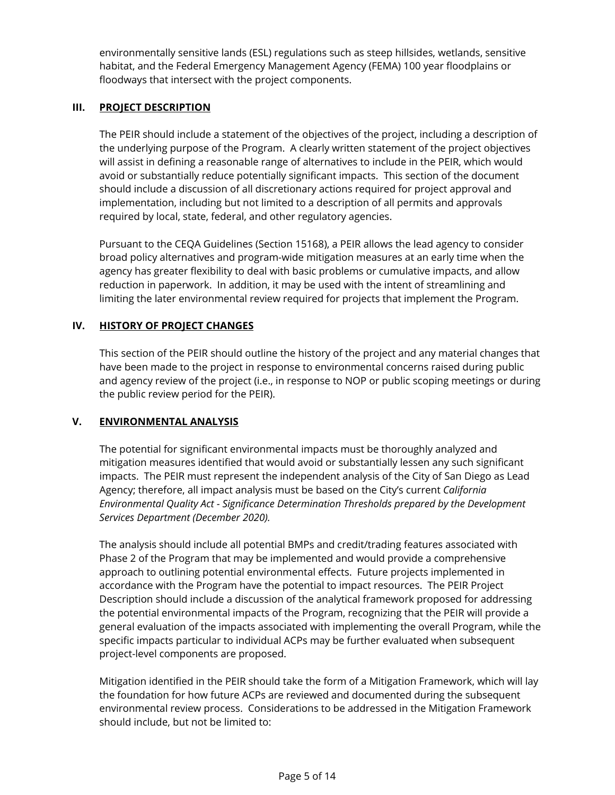environmentally sensitive lands (ESL) regulations such as steep hillsides, wetlands, sensitive habitat, and the Federal Emergency Management Agency (FEMA) 100 year floodplains or floodways that intersect with the project components.

### **III. PROJECT DESCRIPTION**

The PEIR should include a statement of the objectives of the project, including a description of the underlying purpose of the Program. A clearly written statement of the project objectives will assist in defining a reasonable range of alternatives to include in the PEIR, which would avoid or substantially reduce potentially significant impacts. This section of the document should include a discussion of all discretionary actions required for project approval and implementation, including but not limited to a description of all permits and approvals required by local, state, federal, and other regulatory agencies.

Pursuant to the CEQA Guidelines (Section 15168), a PEIR allows the lead agency to consider broad policy alternatives and program-wide mitigation measures at an early time when the agency has greater flexibility to deal with basic problems or cumulative impacts, and allow reduction in paperwork. In addition, it may be used with the intent of streamlining and limiting the later environmental review required for projects that implement the Program.

## **IV. HISTORY OF PROJECT CHANGES**

This section of the PEIR should outline the history of the project and any material changes that have been made to the project in response to environmental concerns raised during public and agency review of the project (i.e., in response to NOP or public scoping meetings or during the public review period for the PEIR).

### **V. ENVIRONMENTAL ANALYSIS**

The potential for significant environmental impacts must be thoroughly analyzed and mitigation measures identified that would avoid or substantially lessen any such significant impacts. The PEIR must represent the independent analysis of the City of San Diego as Lead Agency; therefore, all impact analysis must be based on the City's current *California Environmental Quality Act - Significance Determination Thresholds prepared by the Development Services Department (December 2020).*

The analysis should include all potential BMPs and credit/trading features associated with Phase 2 of the Program that may be implemented and would provide a comprehensive approach to outlining potential environmental effects. Future projects implemented in accordance with the Program have the potential to impact resources. The PEIR Project Description should include a discussion of the analytical framework proposed for addressing the potential environmental impacts of the Program, recognizing that the PEIR will provide a general evaluation of the impacts associated with implementing the overall Program, while the specific impacts particular to individual ACPs may be further evaluated when subsequent project-level components are proposed.

Mitigation identified in the PEIR should take the form of a Mitigation Framework, which will lay the foundation for how future ACPs are reviewed and documented during the subsequent environmental review process. Considerations to be addressed in the Mitigation Framework should include, but not be limited to: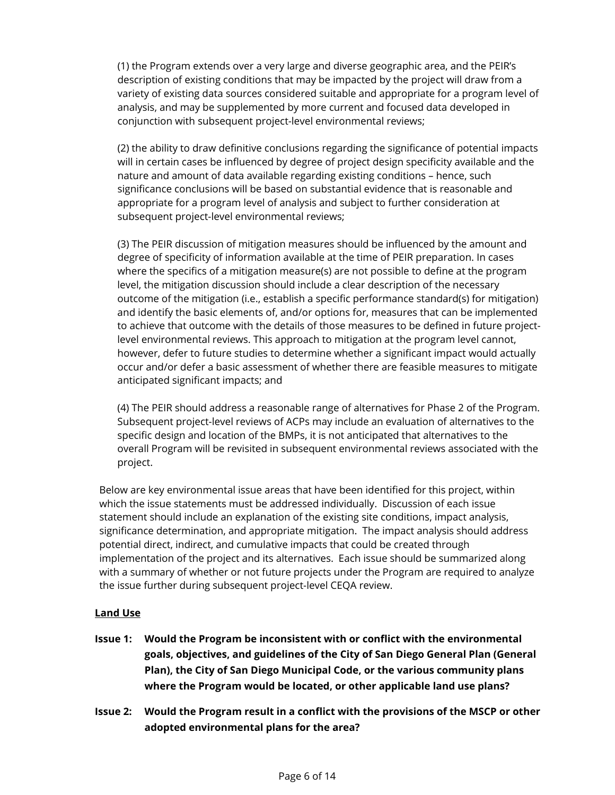(1) the Program extends over a very large and diverse geographic area, and the PEIR's description of existing conditions that may be impacted by the project will draw from a variety of existing data sources considered suitable and appropriate for a program level of analysis, and may be supplemented by more current and focused data developed in conjunction with subsequent project-level environmental reviews;

(2) the ability to draw definitive conclusions regarding the significance of potential impacts will in certain cases be influenced by degree of project design specificity available and the nature and amount of data available regarding existing conditions – hence, such significance conclusions will be based on substantial evidence that is reasonable and appropriate for a program level of analysis and subject to further consideration at subsequent project-level environmental reviews;

(3) The PEIR discussion of mitigation measures should be influenced by the amount and degree of specificity of information available at the time of PEIR preparation. In cases where the specifics of a mitigation measure(s) are not possible to define at the program level, the mitigation discussion should include a clear description of the necessary outcome of the mitigation (i.e., establish a specific performance standard(s) for mitigation) and identify the basic elements of, and/or options for, measures that can be implemented to achieve that outcome with the details of those measures to be defined in future projectlevel environmental reviews. This approach to mitigation at the program level cannot, however, defer to future studies to determine whether a significant impact would actually occur and/or defer a basic assessment of whether there are feasible measures to mitigate anticipated significant impacts; and

(4) The PEIR should address a reasonable range of alternatives for Phase 2 of the Program. Subsequent project-level reviews of ACPs may include an evaluation of alternatives to the specific design and location of the BMPs, it is not anticipated that alternatives to the overall Program will be revisited in subsequent environmental reviews associated with the project.

Below are key environmental issue areas that have been identified for this project, within which the issue statements must be addressed individually. Discussion of each issue statement should include an explanation of the existing site conditions, impact analysis, significance determination, and appropriate mitigation. The impact analysis should address potential direct, indirect, and cumulative impacts that could be created through implementation of the project and its alternatives. Each issue should be summarized along with a summary of whether or not future projects under the Program are required to analyze the issue further during subsequent project-level CEQA review.

### **Land Use**

- **Issue 1: Would the Program be inconsistent with or conflict with the environmental goals, objectives, and guidelines of the City of San Diego General Plan (General Plan), the City of San Diego Municipal Code, or the various community plans where the Program would be located, or other applicable land use plans?**
- **Issue 2: Would the Program result in a conflict with the provisions of the MSCP or other adopted environmental plans for the area?**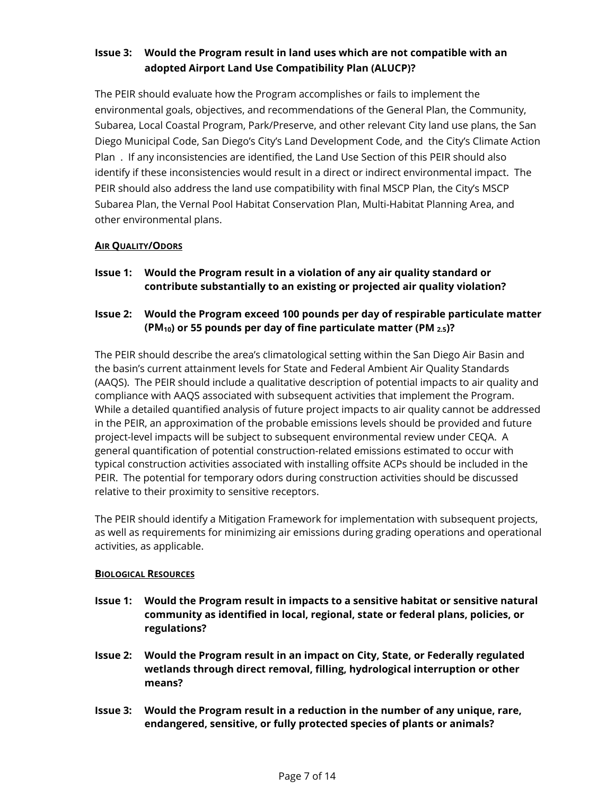# **Issue 3: Would the Program result in land uses which are not compatible with an adopted Airport Land Use Compatibility Plan (ALUCP)?**

The PEIR should evaluate how the Program accomplishes or fails to implement the environmental goals, objectives, and recommendations of the General Plan, the Community, Subarea, Local Coastal Program, Park/Preserve, and other relevant City land use plans, the San Diego Municipal Code, San Diego's City's Land Development Code, and the City's Climate Action Plan . If any inconsistencies are identified, the Land Use Section of this PEIR should also identify if these inconsistencies would result in a direct or indirect environmental impact. The PEIR should also address the land use compatibility with final MSCP Plan, the City's MSCP Subarea Plan, the Vernal Pool Habitat Conservation Plan, Multi-Habitat Planning Area, and other environmental plans.

## **AIR QUALITY/ODORS**

**Issue 1: Would the Program result in a violation of any air quality standard or contribute substantially to an existing or projected air quality violation?**

## **Issue 2: Would the Program exceed 100 pounds per day of respirable particulate matter (PM10) or 55 pounds per day of fine particulate matter (PM 2.5)?**

The PEIR should describe the area's climatological setting within the San Diego Air Basin and the basin's current attainment levels for State and Federal Ambient Air Quality Standards (AAQS). The PEIR should include a qualitative description of potential impacts to air quality and compliance with AAQS associated with subsequent activities that implement the Program. While a detailed quantified analysis of future project impacts to air quality cannot be addressed in the PEIR, an approximation of the probable emissions levels should be provided and future project-level impacts will be subject to subsequent environmental review under CEQA. A general quantification of potential construction-related emissions estimated to occur with typical construction activities associated with installing offsite ACPs should be included in the PEIR. The potential for temporary odors during construction activities should be discussed relative to their proximity to sensitive receptors.

The PEIR should identify a Mitigation Framework for implementation with subsequent projects, as well as requirements for minimizing air emissions during grading operations and operational activities, as applicable.

### **BIOLOGICAL RESOURCES**

- **Issue 1: Would the Program result in impacts to a sensitive habitat or sensitive natural community as identified in local, regional, state or federal plans, policies, or regulations?**
- **Issue 2: Would the Program result in an impact on City, State, or Federally regulated wetlands through direct removal, filling, hydrological interruption or other means?**
- **Issue 3: Would the Program result in a reduction in the number of any unique, rare, endangered, sensitive, or fully protected species of plants or animals?**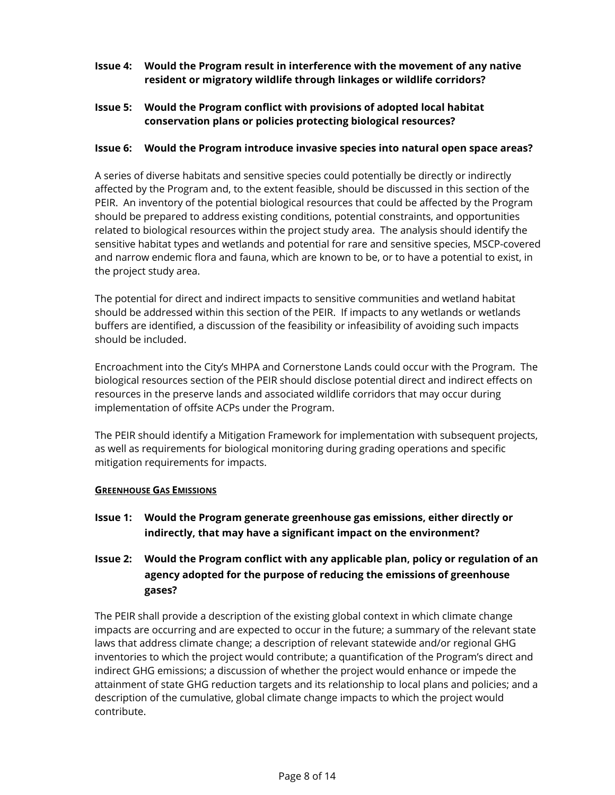### **Issue 4: Would the Program result in interference with the movement of any native resident or migratory wildlife through linkages or wildlife corridors?**

**Issue 5: Would the Program conflict with provisions of adopted local habitat conservation plans or policies protecting biological resources?**

#### **Issue 6: Would the Program introduce invasive species into natural open space areas?**

A series of diverse habitats and sensitive species could potentially be directly or indirectly affected by the Program and, to the extent feasible, should be discussed in this section of the PEIR. An inventory of the potential biological resources that could be affected by the Program should be prepared to address existing conditions, potential constraints, and opportunities related to biological resources within the project study area. The analysis should identify the sensitive habitat types and wetlands and potential for rare and sensitive species, MSCP-covered and narrow endemic flora and fauna, which are known to be, or to have a potential to exist, in the project study area.

The potential for direct and indirect impacts to sensitive communities and wetland habitat should be addressed within this section of the PEIR. If impacts to any wetlands or wetlands buffers are identified, a discussion of the feasibility or infeasibility of avoiding such impacts should be included.

Encroachment into the City's MHPA and Cornerstone Lands could occur with the Program. The biological resources section of the PEIR should disclose potential direct and indirect effects on resources in the preserve lands and associated wildlife corridors that may occur during implementation of offsite ACPs under the Program.

The PEIR should identify a Mitigation Framework for implementation with subsequent projects, as well as requirements for biological monitoring during grading operations and specific mitigation requirements for impacts.

#### **GREENHOUSE GAS EMISSIONS**

**Issue 1: Would the Program generate greenhouse gas emissions, either directly or indirectly, that may have a significant impact on the environment?**

# **Issue 2: Would the Program conflict with any applicable plan, policy or regulation of an agency adopted for the purpose of reducing the emissions of greenhouse gases?**

The PEIR shall provide a description of the existing global context in which climate change impacts are occurring and are expected to occur in the future; a summary of the relevant state laws that address climate change; a description of relevant statewide and/or regional GHG inventories to which the project would contribute; a quantification of the Program's direct and indirect GHG emissions; a discussion of whether the project would enhance or impede the attainment of state GHG reduction targets and its relationship to local plans and policies; and a description of the cumulative, global climate change impacts to which the project would contribute.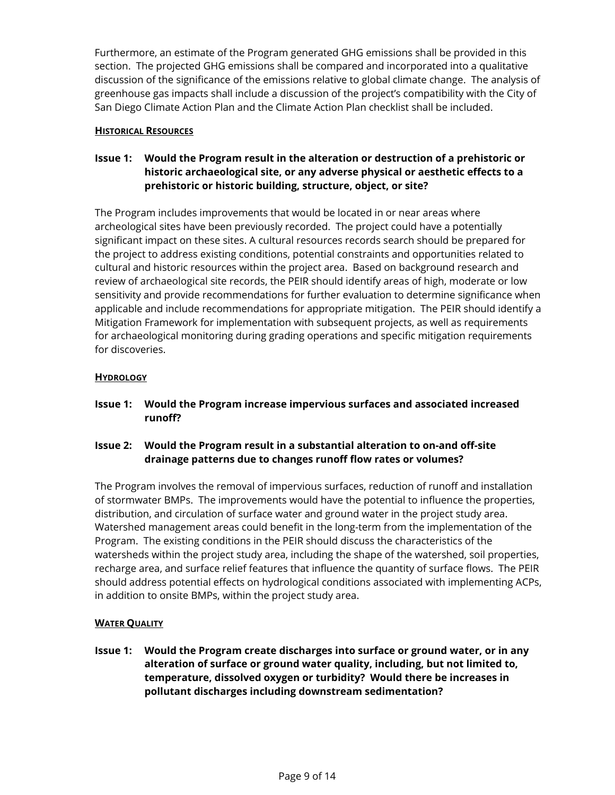Furthermore, an estimate of the Program generated GHG emissions shall be provided in this section. The projected GHG emissions shall be compared and incorporated into a qualitative discussion of the significance of the emissions relative to global climate change. The analysis of greenhouse gas impacts shall include a discussion of the project's compatibility with the City of San Diego Climate Action Plan and the Climate Action Plan checklist shall be included.

#### **HISTORICAL RESOURCES**

## **Issue 1: Would the Program result in the alteration or destruction of a prehistoric or historic archaeological site, or any adverse physical or aesthetic effects to a prehistoric or historic building, structure, object, or site?**

The Program includes improvements that would be located in or near areas where archeological sites have been previously recorded. The project could have a potentially significant impact on these sites. A cultural resources records search should be prepared for the project to address existing conditions, potential constraints and opportunities related to cultural and historic resources within the project area. Based on background research and review of archaeological site records, the PEIR should identify areas of high, moderate or low sensitivity and provide recommendations for further evaluation to determine significance when applicable and include recommendations for appropriate mitigation. The PEIR should identify a Mitigation Framework for implementation with subsequent projects, as well as requirements for archaeological monitoring during grading operations and specific mitigation requirements for discoveries.

#### **HYDROLOGY**

**Issue 1: Would the Program increase impervious surfaces and associated increased runoff?** 

## **Issue 2: Would the Program result in a substantial alteration to on-and off-site drainage patterns due to changes runoff flow rates or volumes?**

The Program involves the removal of impervious surfaces, reduction of runoff and installation of stormwater BMPs. The improvements would have the potential to influence the properties, distribution, and circulation of surface water and ground water in the project study area. Watershed management areas could benefit in the long-term from the implementation of the Program. The existing conditions in the PEIR should discuss the characteristics of the watersheds within the project study area, including the shape of the watershed, soil properties, recharge area, and surface relief features that influence the quantity of surface flows. The PEIR should address potential effects on hydrological conditions associated with implementing ACPs, in addition to onsite BMPs, within the project study area.

### **WATER QUALITY**

**Issue 1: Would the Program create discharges into surface or ground water, or in any alteration of surface or ground water quality, including, but not limited to, temperature, dissolved oxygen or turbidity? Would there be increases in pollutant discharges including downstream sedimentation?**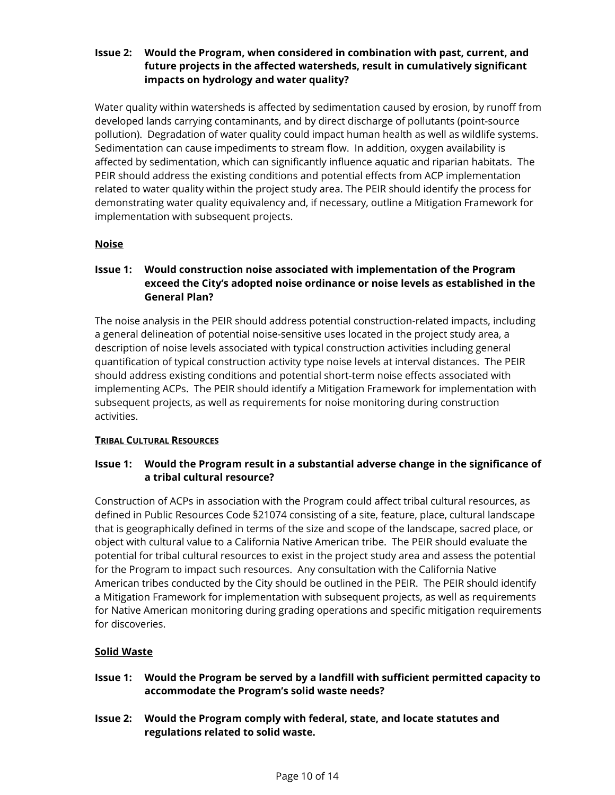### **Issue 2: Would the Program, when considered in combination with past, current, and future projects in the affected watersheds, result in cumulatively significant impacts on hydrology and water quality?**

Water quality within watersheds is affected by sedimentation caused by erosion, by runoff from developed lands carrying contaminants, and by direct discharge of pollutants (point-source pollution). Degradation of water quality could impact human health as well as wildlife systems. Sedimentation can cause impediments to stream flow. In addition, oxygen availability is affected by sedimentation, which can significantly influence aquatic and riparian habitats. The PEIR should address the existing conditions and potential effects from ACP implementation related to water quality within the project study area. The PEIR should identify the process for demonstrating water quality equivalency and, if necessary, outline a Mitigation Framework for implementation with subsequent projects.

### **Noise**

### **Issue 1: Would construction noise associated with implementation of the Program exceed the City's adopted noise ordinance or noise levels as established in the General Plan?**

The noise analysis in the PEIR should address potential construction-related impacts, including a general delineation of potential noise-sensitive uses located in the project study area, a description of noise levels associated with typical construction activities including general quantification of typical construction activity type noise levels at interval distances. The PEIR should address existing conditions and potential short-term noise effects associated with implementing ACPs. The PEIR should identify a Mitigation Framework for implementation with subsequent projects, as well as requirements for noise monitoring during construction activities.

### **TRIBAL CULTURAL RESOURCES**

## **Issue 1: Would the Program result in a substantial adverse change in the significance of a tribal cultural resource?**

Construction of ACPs in association with the Program could affect tribal cultural resources, as defined in Public Resources Code §21074 consisting of a site, feature, place, cultural landscape that is geographically defined in terms of the size and scope of the landscape, sacred place, or object with cultural value to a California Native American tribe. The PEIR should evaluate the potential for tribal cultural resources to exist in the project study area and assess the potential for the Program to impact such resources. Any consultation with the California Native American tribes conducted by the City should be outlined in the PEIR. The PEIR should identify a Mitigation Framework for implementation with subsequent projects, as well as requirements for Native American monitoring during grading operations and specific mitigation requirements for discoveries.

### **Solid Waste**

- **Issue 1: Would the Program be served by a landfill with sufficient permitted capacity to accommodate the Program's solid waste needs?**
- **Issue 2: Would the Program comply with federal, state, and locate statutes and regulations related to solid waste.**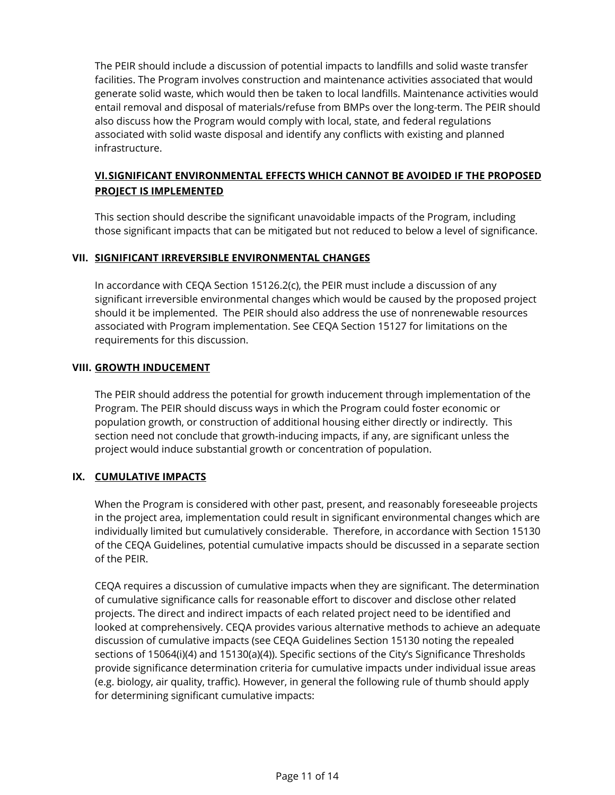The PEIR should include a discussion of potential impacts to landfills and solid waste transfer facilities. The Program involves construction and maintenance activities associated that would generate solid waste, which would then be taken to local landfills. Maintenance activities would entail removal and disposal of materials/refuse from BMPs over the long-term. The PEIR should also discuss how the Program would comply with local, state, and federal regulations associated with solid waste disposal and identify any conflicts with existing and planned infrastructure.

# **VI.SIGNIFICANT ENVIRONMENTAL EFFECTS WHICH CANNOT BE AVOIDED IF THE PROPOSED PROJECT IS IMPLEMENTED**

This section should describe the significant unavoidable impacts of the Program, including those significant impacts that can be mitigated but not reduced to below a level of significance.

#### **VII. SIGNIFICANT IRREVERSIBLE ENVIRONMENTAL CHANGES**

In accordance with CEQA Section 15126.2(c), the PEIR must include a discussion of any significant irreversible environmental changes which would be caused by the proposed project should it be implemented. The PEIR should also address the use of nonrenewable resources associated with Program implementation. See CEQA Section 15127 for limitations on the requirements for this discussion.

#### **VIII. GROWTH INDUCEMENT**

The PEIR should address the potential for growth inducement through implementation of the Program. The PEIR should discuss ways in which the Program could foster economic or population growth, or construction of additional housing either directly or indirectly. This section need not conclude that growth-inducing impacts, if any, are significant unless the project would induce substantial growth or concentration of population.

### **IX. CUMULATIVE IMPACTS**

When the Program is considered with other past, present, and reasonably foreseeable projects in the project area, implementation could result in significant environmental changes which are individually limited but cumulatively considerable. Therefore, in accordance with Section 15130 of the CEQA Guidelines, potential cumulative impacts should be discussed in a separate section of the PEIR.

CEQA requires a discussion of cumulative impacts when they are significant. The determination of cumulative significance calls for reasonable effort to discover and disclose other related projects. The direct and indirect impacts of each related project need to be identified and looked at comprehensively. CEQA provides various alternative methods to achieve an adequate discussion of cumulative impacts (see CEQA Guidelines Section 15130 noting the repealed sections of 15064(i)(4) and 15130(a)(4)). Specific sections of the City's Significance Thresholds provide significance determination criteria for cumulative impacts under individual issue areas (e.g. biology, air quality, traffic). However, in general the following rule of thumb should apply for determining significant cumulative impacts: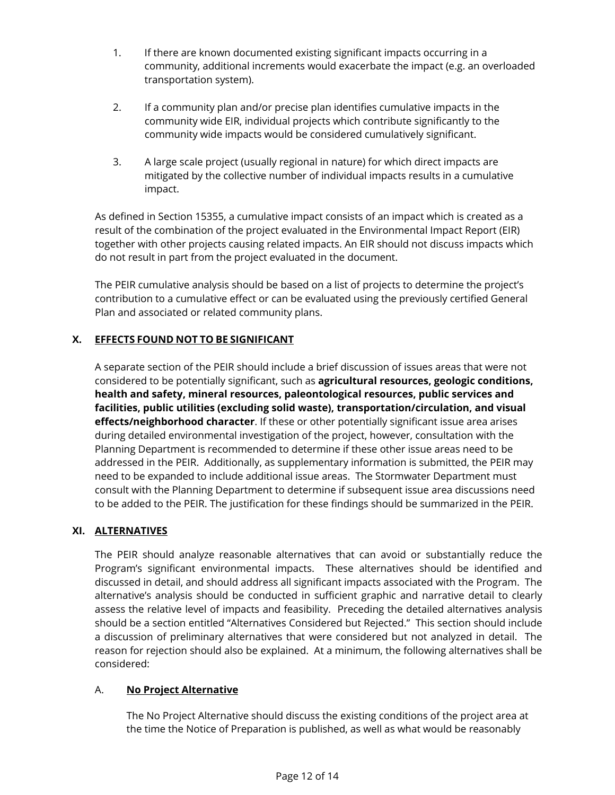- 1. If there are known documented existing significant impacts occurring in a community, additional increments would exacerbate the impact (e.g. an overloaded transportation system).
- 2. If a community plan and/or precise plan identifies cumulative impacts in the community wide EIR, individual projects which contribute significantly to the community wide impacts would be considered cumulatively significant.
- 3. A large scale project (usually regional in nature) for which direct impacts are mitigated by the collective number of individual impacts results in a cumulative impact.

As defined in Section 15355, a cumulative impact consists of an impact which is created as a result of the combination of the project evaluated in the Environmental Impact Report (EIR) together with other projects causing related impacts. An EIR should not discuss impacts which do not result in part from the project evaluated in the document.

The PEIR cumulative analysis should be based on a list of projects to determine the project's contribution to a cumulative effect or can be evaluated using the previously certified General Plan and associated or related community plans.

## **X. EFFECTS FOUND NOT TO BE SIGNIFICANT**

A separate section of the PEIR should include a brief discussion of issues areas that were not considered to be potentially significant, such as **agricultural resources, geologic conditions, health and safety, mineral resources, paleontological resources, public services and facilities, public utilities (excluding solid waste), transportation/circulation, and visual effects/neighborhood character**. If these or other potentially significant issue area arises during detailed environmental investigation of the project, however, consultation with the Planning Department is recommended to determine if these other issue areas need to be addressed in the PEIR. Additionally, as supplementary information is submitted, the PEIR may need to be expanded to include additional issue areas. The Stormwater Department must consult with the Planning Department to determine if subsequent issue area discussions need to be added to the PEIR. The justification for these findings should be summarized in the PEIR.

### **XI. ALTERNATIVES**

The PEIR should analyze reasonable alternatives that can avoid or substantially reduce the Program's significant environmental impacts. These alternatives should be identified and discussed in detail, and should address all significant impacts associated with the Program. The alternative's analysis should be conducted in sufficient graphic and narrative detail to clearly assess the relative level of impacts and feasibility. Preceding the detailed alternatives analysis should be a section entitled "Alternatives Considered but Rejected." This section should include a discussion of preliminary alternatives that were considered but not analyzed in detail. The reason for rejection should also be explained. At a minimum, the following alternatives shall be considered:

### A. **No Project Alternative**

The No Project Alternative should discuss the existing conditions of the project area at the time the Notice of Preparation is published, as well as what would be reasonably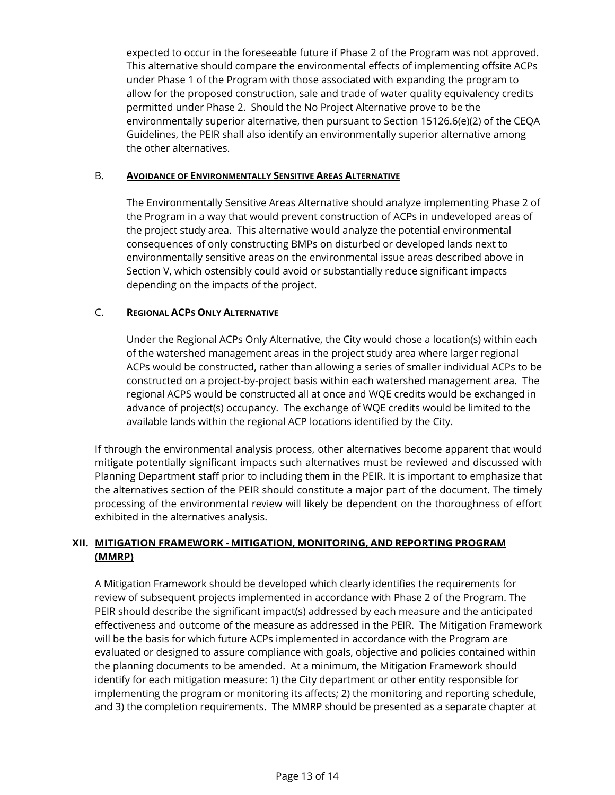expected to occur in the foreseeable future if Phase 2 of the Program was not approved. This alternative should compare the environmental effects of implementing offsite ACPs under Phase 1 of the Program with those associated with expanding the program to allow for the proposed construction, sale and trade of water quality equivalency credits permitted under Phase 2. Should the No Project Alternative prove to be the environmentally superior alternative, then pursuant to Section 15126.6(e)(2) of the CEQA Guidelines, the PEIR shall also identify an environmentally superior alternative among the other alternatives.

#### B. **AVOIDANCE OF ENVIRONMENTALLY SENSITIVE AREAS ALTERNATIVE**

The Environmentally Sensitive Areas Alternative should analyze implementing Phase 2 of the Program in a way that would prevent construction of ACPs in undeveloped areas of the project study area. This alternative would analyze the potential environmental consequences of only constructing BMPs on disturbed or developed lands next to environmentally sensitive areas on the environmental issue areas described above in Section V, which ostensibly could avoid or substantially reduce significant impacts depending on the impacts of the project.

#### C. **REGIONAL ACPS ONLY ALTERNATIVE**

Under the Regional ACPs Only Alternative, the City would chose a location(s) within each of the watershed management areas in the project study area where larger regional ACPs would be constructed, rather than allowing a series of smaller individual ACPs to be constructed on a project-by-project basis within each watershed management area. The regional ACPS would be constructed all at once and WQE credits would be exchanged in advance of project(s) occupancy. The exchange of WQE credits would be limited to the available lands within the regional ACP locations identified by the City.

If through the environmental analysis process, other alternatives become apparent that would mitigate potentially significant impacts such alternatives must be reviewed and discussed with Planning Department staff prior to including them in the PEIR. It is important to emphasize that the alternatives section of the PEIR should constitute a major part of the document. The timely processing of the environmental review will likely be dependent on the thoroughness of effort exhibited in the alternatives analysis.

### **XII. MITIGATION FRAMEWORK - MITIGATION, MONITORING, AND REPORTING PROGRAM (MMRP)**

A Mitigation Framework should be developed which clearly identifies the requirements for review of subsequent projects implemented in accordance with Phase 2 of the Program. The PEIR should describe the significant impact(s) addressed by each measure and the anticipated effectiveness and outcome of the measure as addressed in the PEIR. The Mitigation Framework will be the basis for which future ACPs implemented in accordance with the Program are evaluated or designed to assure compliance with goals, objective and policies contained within the planning documents to be amended. At a minimum, the Mitigation Framework should identify for each mitigation measure: 1) the City department or other entity responsible for implementing the program or monitoring its affects; 2) the monitoring and reporting schedule, and 3) the completion requirements. The MMRP should be presented as a separate chapter at